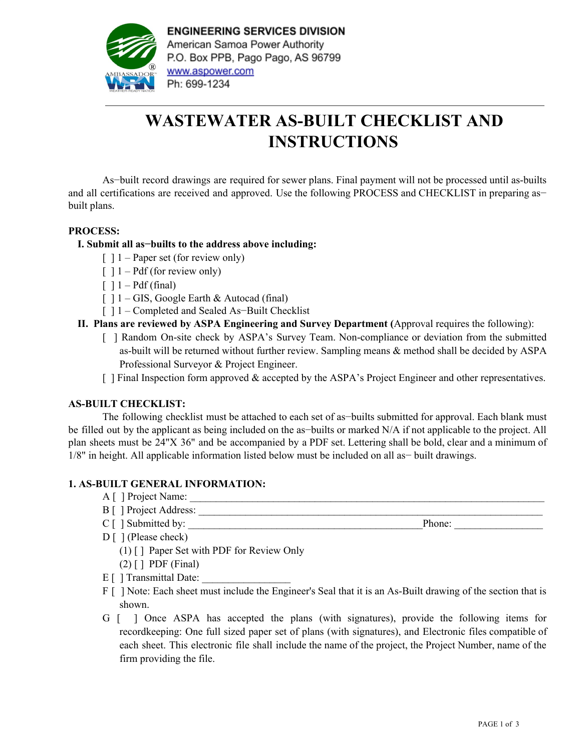

**ENGINEERING SERVICES DIVISION** American Samoa Power Authority P.O. Box PPB, Pago Pago, AS 96799 www.aspower.com Ph: 699-1234

# **WASTEWATER AS-BUILT CHECKLIST AND INSTRUCTIONS**

As−built record drawings are required for sewer plans. Final payment will not be processed until as-builts and all certifications are received and approved. Use the following PROCESS and CHECKLIST in preparing as− built plans.

## **PROCESS:**

## **I. Submit all as−builts to the address above including:**

- $\lceil$  1 Paper set (for review only)
- $\lceil$   $\rceil$  1 Pdf (for review only)
- $\lceil$  1 Pdf (final)
- $[ ] 1 GIS, Google Earth & Autocad (final)$
- [ ] 1 Completed and Sealed As−Built Checklist
- **II. Plans are reviewed by ASPA Engineering and Survey Department (**Approval requires the following):
	- [ ] Random On-site check by ASPA's Survey Team. Non-compliance or deviation from the submitted as-built will be returned without further review. Sampling means & method shall be decided by ASPA Professional Surveyor & Project Engineer.
	- [ ] Final Inspection form approved & accepted by the ASPA's Project Engineer and other representatives.

#### **AS-BUILT CHECKLIST:**

The following checklist must be attached to each set of as−builts submitted for approval. Each blank must be filled out by the applicant as being included on the as−builts or marked N/A if not applicable to the project. All plan sheets must be 24"X 36" and be accompanied by a PDF set. Lettering shall be bold, clear and a minimum of 1/8" in height. All applicable information listed below must be included on all as− built drawings.

#### **1. AS-BUILT GENERAL INFORMATION:**

- A [ ] Project Name: \_\_\_\_\_\_\_\_\_\_\_\_\_\_\_\_\_\_\_\_\_\_\_\_\_\_\_\_\_\_\_\_\_\_\_\_\_\_\_\_\_\_\_\_\_\_\_\_\_\_\_\_\_\_\_\_\_\_\_\_\_\_\_\_\_\_\_\_
- B [ ] Project Address: \_\_\_\_\_\_\_\_\_\_\_\_\_\_\_\_\_\_\_\_\_\_\_\_\_\_\_\_\_\_\_\_\_\_\_\_\_\_\_\_\_\_\_\_\_\_\_\_\_\_\_\_\_\_\_\_\_\_\_\_\_\_\_\_\_\_

C [ ] Submitted by: \_\_\_\_\_\_\_\_\_\_\_\_\_\_\_\_\_\_\_\_\_\_\_\_\_\_\_\_\_\_\_\_\_\_\_\_\_\_\_\_\_\_\_\_\_Phone: \_\_\_\_\_\_\_\_\_\_\_\_\_\_\_\_\_

- D [ ] (Please check)
	- (1)  $\lceil$  Paper Set with PDF for Review Only
	- $(2)$  [ ] PDF (Final)
- $E[\ ]$  Transmittal Date:
- F [ ] Note: Each sheet must include the Engineer's Seal that it is an As-Built drawing of the section that is shown.
- G [ ] Once ASPA has accepted the plans (with signatures), provide the following items for recordkeeping: One full sized paper set of plans (with signatures), and Electronic files compatible of each sheet. This electronic file shall include the name of the project, the Project Number, name of the firm providing the file.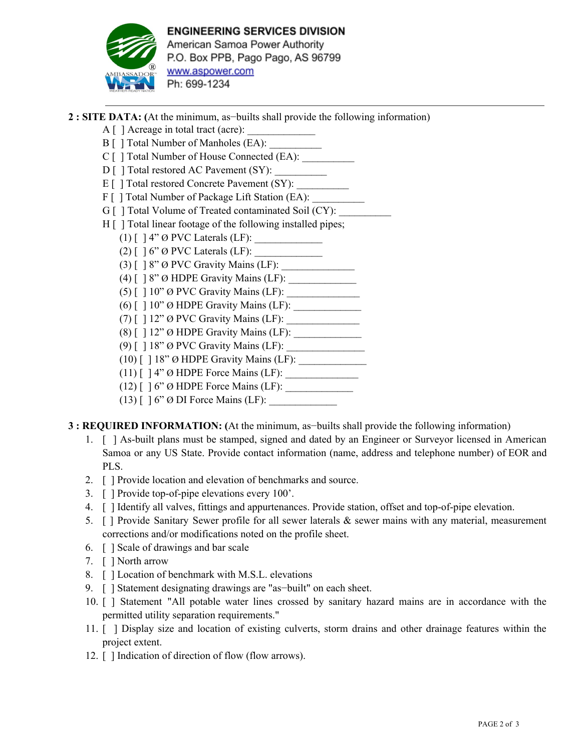

**2 : SITE DATA: (**At the minimum, as−builts shall provide the following information)

- $A \mid \cdot$  ] Acreage in total tract (acre):
- B [ ] Total Number of Manholes (EA):
- C [ ] Total Number of House Connected (EA):
- D [ ] Total restored AC Pavement (SY):
- $E[\ ]$  Total restored Concrete Pavement (SY):
- F [ ] Total Number of Package Lift Station (EA):
- G [ ] Total Volume of Treated contaminated Soil (CY):
- H [ ] Total linear footage of the following installed pipes;
	- (1) [ ] 4" Ø PVC Laterals (LF): \_\_\_\_\_\_\_\_\_\_\_\_\_
	- (2)  $\lceil$   $\rceil$  6"  $\emptyset$  PVC Laterals (LF):
	- $(3)$   $[$   $]$   $8"$   $\emptyset$  PVC Gravity Mains (LF):
	- (4) [ ] 8" Ø HDPE Gravity Mains (LF): \_\_\_\_\_\_\_\_\_\_\_\_\_
	- (5) [ ] 10" Ø PVC Gravity Mains (LF): \_\_\_\_\_\_\_\_\_\_\_\_\_\_
	- (6) [ ] 10" Ø HDPE Gravity Mains (LF): \_\_\_\_\_\_\_\_\_\_\_\_\_
	- (7)  $\lceil$  12"  $\emptyset$  PVC Gravity Mains (LF):
	- (8) [ ] 12" Ø HDPE Gravity Mains (LF): \_\_\_\_\_\_\_\_\_\_\_\_\_
	- (9)  $\lceil$  18" Ø PVC Gravity Mains (LF):
	- (10)  $\lceil$  | 18" Ø HDPE Gravity Mains (LF):
	- (11) [ ] 4" Ø HDPE Force Mains (LF): \_\_\_\_\_\_\_\_\_\_\_\_\_\_
	- $(12)$  [ ] 6"  $\emptyset$  HDPE Force Mains (LF):
	- $(13)$   $\lceil$   $\rceil$  6"  $\emptyset$  DI Force Mains (LF):
- **3 : REQUIRED INFORMATION: (**At the minimum, as−builts shall provide the following information)
	- 1. [ ] As-built plans must be stamped, signed and dated by an Engineer or Surveyor licensed in American Samoa or any US State. Provide contact information (name, address and telephone number) of EOR and PLS.
	- 2. [ ] Provide location and elevation of benchmarks and source.
	- 3. [ ] Provide top-of-pipe elevations every 100'.
	- 4. [ ] Identify all valves, fittings and appurtenances. Provide station, offset and top-of-pipe elevation.
	- 5. [ ] Provide Sanitary Sewer profile for all sewer laterals & sewer mains with any material, measurement corrections and/or modifications noted on the profile sheet.
	- 6. [ ] Scale of drawings and bar scale
	- 7. [ ] North arrow
	- 8. [ ] Location of benchmark with M.S.L. elevations
	- 9. [ ] Statement designating drawings are "as-built" on each sheet.
	- 10. [ ] Statement "All potable water lines crossed by sanitary hazard mains are in accordance with the permitted utility separation requirements."
	- 11. [ ] Display size and location of existing culverts, storm drains and other drainage features within the project extent.
	- 12. [ ] Indication of direction of flow (flow arrows).